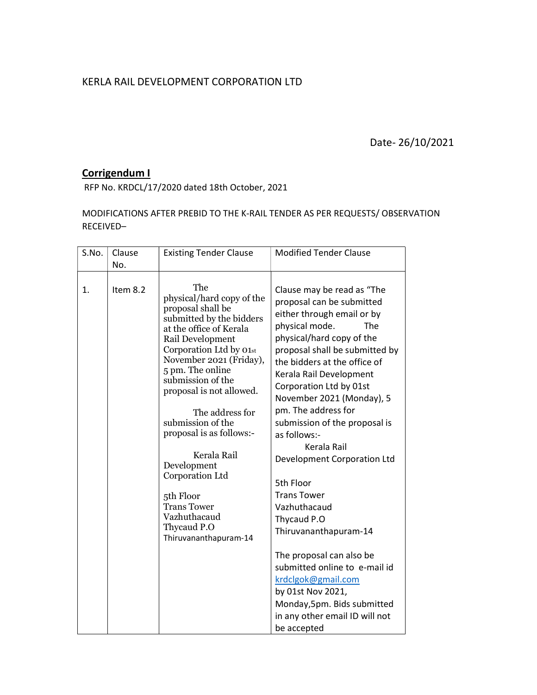## KERLA RAIL DEVELOPMENT CORPORATION LTD

Date- 26/10/2021

## Corrigendum I

RFP No. KRDCL/17/2020 dated 18th October, 2021

MODIFICATIONS AFTER PREBID TO THE K-RAIL TENDER AS PER REQUESTS/ OBSERVATION RECEIVED–

| S.No. | Clause<br>No. | <b>Existing Tender Clause</b>                                                                                                                                                                                                                                                                                                                                                    | <b>Modified Tender Clause</b>                                                                                                                                                                                                                                                                                                                                                                                                       |
|-------|---------------|----------------------------------------------------------------------------------------------------------------------------------------------------------------------------------------------------------------------------------------------------------------------------------------------------------------------------------------------------------------------------------|-------------------------------------------------------------------------------------------------------------------------------------------------------------------------------------------------------------------------------------------------------------------------------------------------------------------------------------------------------------------------------------------------------------------------------------|
| 1.    | Item 8.2      | The<br>physical/hard copy of the<br>proposal shall be<br>submitted by the bidders<br>at the office of Kerala<br>Rail Development<br>Corporation Ltd by 01st<br>November 2021 (Friday),<br>5 pm. The online<br>submission of the<br>proposal is not allowed.<br>The address for<br>submission of the<br>proposal is as follows:-<br>Kerala Rail<br>Development<br>Corporation Ltd | Clause may be read as "The<br>proposal can be submitted<br>either through email or by<br>physical mode.<br>The<br>physical/hard copy of the<br>proposal shall be submitted by<br>the bidders at the office of<br>Kerala Rail Development<br>Corporation Ltd by 01st<br>November 2021 (Monday), 5<br>pm. The address for<br>submission of the proposal is<br>as follows:-<br>Kerala Rail<br>Development Corporation Ltd<br>5th Floor |
|       |               | 5th Floor<br><b>Trans Tower</b><br>Vazhuthacaud<br>Thycaud P.O<br>Thiruvananthapuram-14                                                                                                                                                                                                                                                                                          | <b>Trans Tower</b><br>Vazhuthacaud<br>Thycaud P.O<br>Thiruvananthapuram-14                                                                                                                                                                                                                                                                                                                                                          |
|       |               |                                                                                                                                                                                                                                                                                                                                                                                  | The proposal can also be<br>submitted online to e-mail id<br>krdclgok@gmail.com<br>by 01st Nov 2021,<br>Monday, 5pm. Bids submitted<br>in any other email ID will not<br>be accepted                                                                                                                                                                                                                                                |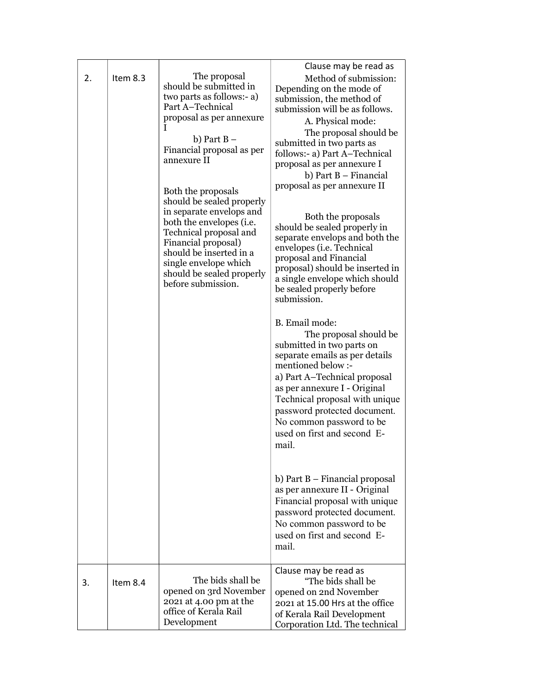| 2. | Item 8.3 | The proposal<br>should be submitted in<br>two parts as follows:- a)<br>Part A-Technical<br>proposal as per annexure<br>L<br>b) Part $B -$<br>Financial proposal as per<br>annexure II<br>Both the proposals<br>should be sealed properly<br>in separate envelops and<br>both the envelopes ( <i>i.e.</i><br>Technical proposal and<br>Financial proposal)<br>should be inserted in a<br>single envelope which<br>should be sealed properly<br>before submission. | Clause may be read as<br>Method of submission:<br>Depending on the mode of<br>submission, the method of<br>submission will be as follows.<br>A. Physical mode:<br>The proposal should be<br>submitted in two parts as<br>follows:- a) Part A-Technical<br>proposal as per annexure I<br>b) Part B - Financial<br>proposal as per annexure II<br>Both the proposals<br>should be sealed properly in<br>separate envelops and both the<br>envelopes (i.e. Technical<br>proposal and Financial<br>proposal) should be inserted in<br>a single envelope which should<br>be sealed properly before<br>submission.<br>B. Email mode:<br>The proposal should be<br>submitted in two parts on<br>separate emails as per details<br>mentioned below :-<br>a) Part A-Technical proposal<br>as per annexure I - Original<br>Technical proposal with unique<br>password protected document.<br>No common password to be<br>used on first and second E-<br>mail.<br>b) Part B – Financial proposal<br>as per annexure II - Original<br>Financial proposal with unique<br>password protected document.<br>No common password to be<br>used on first and second E-<br>mail. |
|----|----------|------------------------------------------------------------------------------------------------------------------------------------------------------------------------------------------------------------------------------------------------------------------------------------------------------------------------------------------------------------------------------------------------------------------------------------------------------------------|--------------------------------------------------------------------------------------------------------------------------------------------------------------------------------------------------------------------------------------------------------------------------------------------------------------------------------------------------------------------------------------------------------------------------------------------------------------------------------------------------------------------------------------------------------------------------------------------------------------------------------------------------------------------------------------------------------------------------------------------------------------------------------------------------------------------------------------------------------------------------------------------------------------------------------------------------------------------------------------------------------------------------------------------------------------------------------------------------------------------------------------------------------------|
| 3. | Item 8.4 | The bids shall be<br>opened on 3rd November<br>2021 at 4.00 pm at the<br>office of Kerala Rail<br>Development                                                                                                                                                                                                                                                                                                                                                    | Clause may be read as<br>"The bids shall be<br>opened on 2nd November<br>2021 at 15.00 Hrs at the office<br>of Kerala Rail Development<br>Corporation Ltd. The technical                                                                                                                                                                                                                                                                                                                                                                                                                                                                                                                                                                                                                                                                                                                                                                                                                                                                                                                                                                                     |